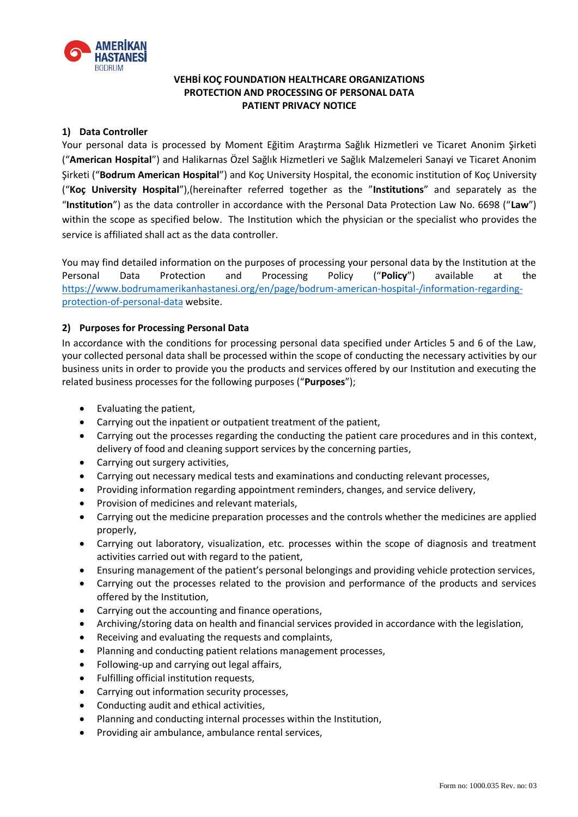

# **VEHBİ KOÇ FOUNDATION HEALTHCARE ORGANIZATIONS PROTECTION AND PROCESSING OF PERSONAL DATA PATIENT PRIVACY NOTICE**

## **1) Data Controller**

Your personal data is processed by Moment Eğitim Araştırma Sağlık Hizmetleri ve Ticaret Anonim Şirketi ("**American Hospital**") and Halikarnas Özel Sağlık Hizmetleri ve Sağlık Malzemeleri Sanayi ve Ticaret Anonim Şirketi ("**Bodrum American Hospital**") and Koç University Hospital, the economic institution of Koç University ("**Koç University Hospital**"),(hereinafter referred together as the "**Institutions**" and separately as the "**Institution**") as the data controller in accordance with the Personal Data Protection Law No. 6698 ("**Law**") within the scope as specified below. The Institution which the physician or the specialist who provides the service is affiliated shall act as the data controller.

You may find detailed information on the purposes of processing your personal data by the Institution at the Personal Data Protection and Processing Policy ("**Policy**") available at the [https://www.bodrumamerikanhastanesi.org/en/page/bodrum-american-hospital-/information-regarding](https://www.bodrumamerikanhastanesi.org/en/page/bodrum-american-hospital-/information-regarding-protection-of-personal-data)[protection-of-personal-data](https://www.bodrumamerikanhastanesi.org/en/page/bodrum-american-hospital-/information-regarding-protection-of-personal-data) website.

## **2) Purposes for Processing Personal Data**

In accordance with the conditions for processing personal data specified under Articles 5 and 6 of the Law, your collected personal data shall be processed within the scope of conducting the necessary activities by our business units in order to provide you the products and services offered by our Institution and executing the related business processes for the following purposes ("**Purposes**");

- Evaluating the patient,
- Carrying out the inpatient or outpatient treatment of the patient,
- Carrying out the processes regarding the conducting the patient care procedures and in this context, delivery of food and cleaning support services by the concerning parties,
- Carrying out surgery activities.
- Carrying out necessary medical tests and examinations and conducting relevant processes,
- Providing information regarding appointment reminders, changes, and service delivery,
- Provision of medicines and relevant materials,
- Carrying out the medicine preparation processes and the controls whether the medicines are applied properly,
- Carrying out laboratory, visualization, etc. processes within the scope of diagnosis and treatment activities carried out with regard to the patient,
- Ensuring management of the patient's personal belongings and providing vehicle protection services,
- Carrying out the processes related to the provision and performance of the products and services offered by the Institution,
- Carrying out the accounting and finance operations,
- Archiving/storing data on health and financial services provided in accordance with the legislation,
- Receiving and evaluating the requests and complaints,
- Planning and conducting patient relations management processes,
- Following-up and carrying out legal affairs,
- Fulfilling official institution requests,
- Carrying out information security processes,
- Conducting audit and ethical activities,
- Planning and conducting internal processes within the Institution,
- Providing air ambulance, ambulance rental services,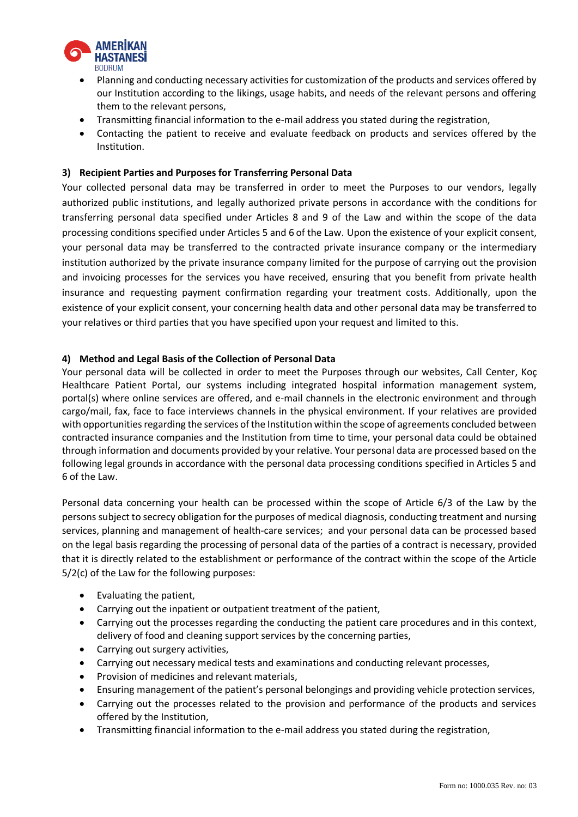

- Planning and conducting necessary activities for customization of the products and services offered by our Institution according to the likings, usage habits, and needs of the relevant persons and offering them to the relevant persons,
- Transmitting financial information to the e-mail address you stated during the registration,
- Contacting the patient to receive and evaluate feedback on products and services offered by the Institution.

# **3) Recipient Parties and Purposes for Transferring Personal Data**

Your collected personal data may be transferred in order to meet the Purposes to our vendors, legally authorized public institutions, and legally authorized private persons in accordance with the conditions for transferring personal data specified under Articles 8 and 9 of the Law and within the scope of the data processing conditions specified under Articles 5 and 6 of the Law. Upon the existence of your explicit consent, your personal data may be transferred to the contracted private insurance company or the intermediary institution authorized by the private insurance company limited for the purpose of carrying out the provision and invoicing processes for the services you have received, ensuring that you benefit from private health insurance and requesting payment confirmation regarding your treatment costs. Additionally, upon the existence of your explicit consent, your concerning health data and other personal data may be transferred to your relatives or third parties that you have specified upon your request and limited to this.

### **4) Method and Legal Basis of the Collection of Personal Data**

Your personal data will be collected in order to meet the Purposes through our websites, Call Center, Koç Healthcare Patient Portal, our systems including integrated hospital information management system, portal(s) where online services are offered, and e-mail channels in the electronic environment and through cargo/mail, fax, face to face interviews channels in the physical environment. If your relatives are provided with opportunities regarding the services of the Institution within the scope of agreements concluded between contracted insurance companies and the Institution from time to time, your personal data could be obtained through information and documents provided by your relative. Your personal data are processed based on the following legal grounds in accordance with the personal data processing conditions specified in Articles 5 and 6 of the Law.

Personal data concerning your health can be processed within the scope of Article 6/3 of the Law by the persons subject to secrecy obligation for the purposes of medical diagnosis, conducting treatment and nursing services, planning and management of health-care services; and your personal data can be processed based on the legal basis regarding the processing of personal data of the parties of a contract is necessary, provided that it is directly related to the establishment or performance of the contract within the scope of the Article 5/2(c) of the Law for the following purposes:

- Evaluating the patient,
- Carrying out the inpatient or outpatient treatment of the patient,
- Carrying out the processes regarding the conducting the patient care procedures and in this context, delivery of food and cleaning support services by the concerning parties,
- Carrying out surgery activities,
- Carrying out necessary medical tests and examinations and conducting relevant processes,
- Provision of medicines and relevant materials,
- Ensuring management of the patient's personal belongings and providing vehicle protection services,
- Carrying out the processes related to the provision and performance of the products and services offered by the Institution,
- Transmitting financial information to the e-mail address you stated during the registration,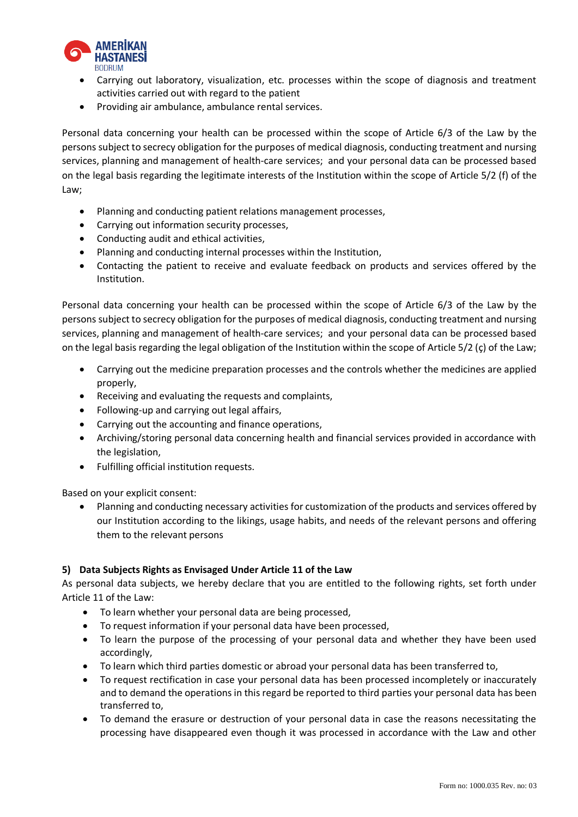

- Carrying out laboratory, visualization, etc. processes within the scope of diagnosis and treatment activities carried out with regard to the patient
- Providing air ambulance, ambulance rental services.

Personal data concerning your health can be processed within the scope of Article 6/3 of the Law by the persons subject to secrecy obligation for the purposes of medical diagnosis, conducting treatment and nursing services, planning and management of health-care services; and your personal data can be processed based on the legal basis regarding the legitimate interests of the Institution within the scope of Article 5/2 (f) of the Law;

- Planning and conducting patient relations management processes,
- Carrying out information security processes,
- Conducting audit and ethical activities,
- Planning and conducting internal processes within the Institution,
- Contacting the patient to receive and evaluate feedback on products and services offered by the Institution.

Personal data concerning your health can be processed within the scope of Article 6/3 of the Law by the persons subject to secrecy obligation for the purposes of medical diagnosis, conducting treatment and nursing services, planning and management of health-care services; and your personal data can be processed based on the legal basis regarding the legal obligation of the Institution within the scope of Article 5/2 (ç) of the Law;

- Carrying out the medicine preparation processes and the controls whether the medicines are applied properly,
- Receiving and evaluating the requests and complaints,
- Following-up and carrying out legal affairs,
- Carrying out the accounting and finance operations,
- Archiving/storing personal data concerning health and financial services provided in accordance with the legislation,
- Fulfilling official institution requests.

Based on your explicit consent:

 Planning and conducting necessary activities for customization of the products and services offered by our Institution according to the likings, usage habits, and needs of the relevant persons and offering them to the relevant persons

### **5) Data Subjects Rights as Envisaged Under Article 11 of the Law**

As personal data subjects, we hereby declare that you are entitled to the following rights, set forth under Article 11 of the Law:

- To learn whether your personal data are being processed,
- To request information if your personal data have been processed,
- To learn the purpose of the processing of your personal data and whether they have been used accordingly,
- To learn which third parties domestic or abroad your personal data has been transferred to,
- To request rectification in case your personal data has been processed incompletely or inaccurately and to demand the operations in this regard be reported to third parties your personal data has been transferred to,
- To demand the erasure or destruction of your personal data in case the reasons necessitating the processing have disappeared even though it was processed in accordance with the Law and other